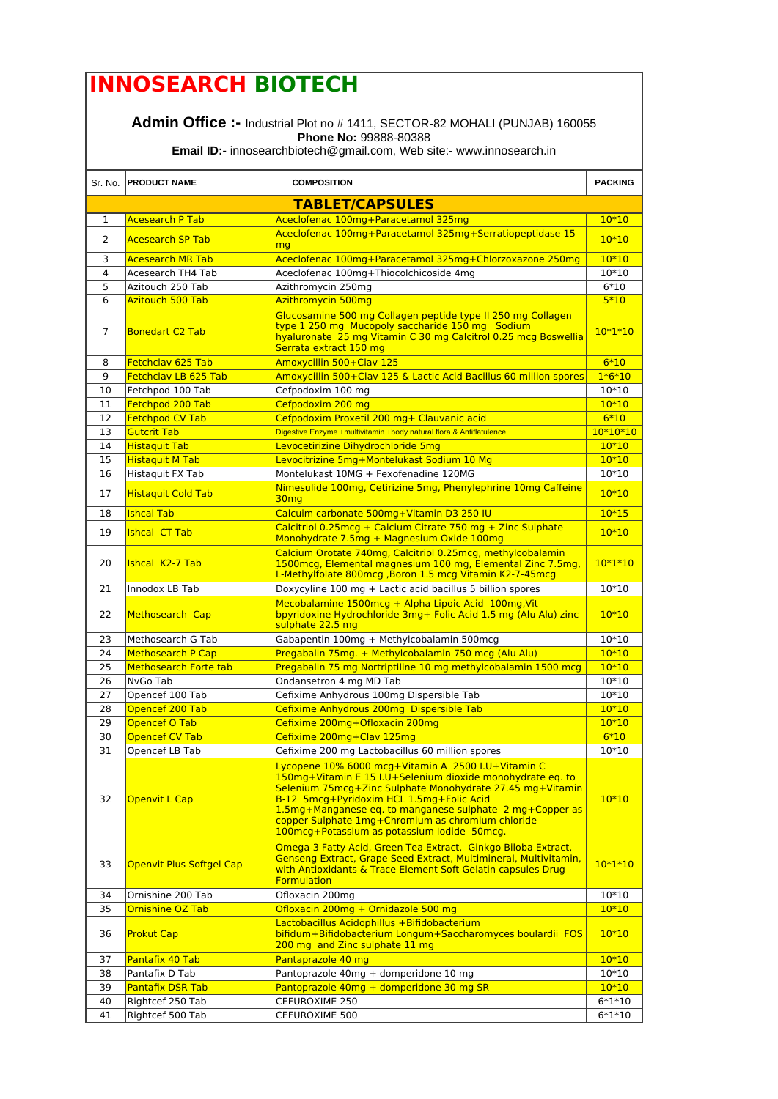## **INNOSEARCH BIOTECH**

**Admin Office :-** Industrial Plot no # 1411, SECTOR-82 MOHALI (PUNJAB) 160055 **Phone No:** 99888-80388

**Email ID:-** innosearchbiotech@gmail.com, Web site:- www.innosearch.in

|                | Sr. No. PRODUCT NAME            | <b>COMPOSITION</b>                                                                                                                                                                                                                                                                                                                                                                        | <b>PACKING</b> |
|----------------|---------------------------------|-------------------------------------------------------------------------------------------------------------------------------------------------------------------------------------------------------------------------------------------------------------------------------------------------------------------------------------------------------------------------------------------|----------------|
|                |                                 | <b>TABLET/CAPSULES</b>                                                                                                                                                                                                                                                                                                                                                                    |                |
| 1              | <b>Acesearch P Tab</b>          | Aceclofenac 100mg+Paracetamol 325mg                                                                                                                                                                                                                                                                                                                                                       | $10*10$        |
| 2              | <b>Acesearch SP Tab</b>         | Aceclofenac 100mg+Paracetamol 325mg+Serratiopeptidase 15<br>mg                                                                                                                                                                                                                                                                                                                            | $10*10$        |
| 3              | <b>Acesearch MR Tab</b>         | Aceclofenac 100mg+Paracetamol 325mg+Chlorzoxazone 250mg                                                                                                                                                                                                                                                                                                                                   | $10*10$        |
| 4              | Acesearch TH4 Tab               | Aceclofenac 100mg+Thiocolchicoside 4mg                                                                                                                                                                                                                                                                                                                                                    | $10*10$        |
| 5              | Azitouch 250 Tab                | Azithromycin 250mg                                                                                                                                                                                                                                                                                                                                                                        | $6*10$         |
| 6              | <b>Azitouch 500 Tab</b>         | <b>Azithromycin 500mg</b>                                                                                                                                                                                                                                                                                                                                                                 | $5*10$         |
| $\overline{7}$ | <b>Bonedart C2 Tab</b>          | Glucosamine 500 mg Collagen peptide type II 250 mg Collagen<br>type 1 250 mg Mucopoly saccharide 150 mg Sodium<br>hyaluronate 25 mg Vitamin C 30 mg Calcitrol 0.25 mcg Boswellia<br>Serrata extract 150 mg                                                                                                                                                                                | $10*1*10$      |
| 8              | Fetchclav 625 Tab               | Amoxycillin 500+Clav 125                                                                                                                                                                                                                                                                                                                                                                  | $6*10$         |
| 9              | Fetchclav LB 625 Tab            | Amoxycillin 500+Clav 125 & Lactic Acid Bacillus 60 million spores                                                                                                                                                                                                                                                                                                                         | $1*6*10$       |
| 10             | Fetchpod 100 Tab                | Cefpodoxim 100 mg                                                                                                                                                                                                                                                                                                                                                                         | 10*10          |
| 11             | Fetchpod 200 Tab                | Cefpodoxim 200 mg                                                                                                                                                                                                                                                                                                                                                                         | $10*10$        |
| 12             | <b>Fetchpod CV Tab</b>          | Cefpodoxim Proxetil 200 mg+ Clauvanic acid                                                                                                                                                                                                                                                                                                                                                | $6*10$         |
| 13             | <b>Gutcrit Tab</b>              | Digestive Enzyme +multivitamin +body natural flora & Antiflatulence                                                                                                                                                                                                                                                                                                                       | $10*10*10$     |
| 14             | <b>Histaquit Tab</b>            | Levocetirizine Dihydrochloride 5mg                                                                                                                                                                                                                                                                                                                                                        | $10*10$        |
| 15             | <b>Histaquit M Tab</b>          | Levocitrizine 5mg+Montelukast Sodium 10 Mg                                                                                                                                                                                                                                                                                                                                                | $10*10$        |
| 16             | Histaquit FX Tab                | Montelukast 10MG + Fexofenadine 120MG                                                                                                                                                                                                                                                                                                                                                     | $10*10$        |
| 17             | <b>Histaquit Cold Tab</b>       | Nimesulide 100mg, Cetirizine 5mg, Phenylephrine 10mg Caffeine<br>30 <sub>mg</sub>                                                                                                                                                                                                                                                                                                         | $10*10$        |
| 18             | <b>Ishcal Tab</b>               | Calcuim carbonate 500mg+Vitamin D3 250 IU                                                                                                                                                                                                                                                                                                                                                 | $10*15$        |
| 19             | <b>Ishcal CT Tab</b>            | Calcitriol 0.25 mcg + Calcium Citrate 750 mg + Zinc Sulphate<br>Monohydrate 7.5mg + Magnesium Oxide 100mg                                                                                                                                                                                                                                                                                 | $10*10$        |
| 20             | Ishcal K2-7 Tab                 | Calcium Orotate 740mg, Calcitriol 0.25mcg, methylcobalamin<br>1500 mcg, Elemental magnesium 100 mg, Elemental Zinc 7.5 mg,<br>L-Methylfolate 800mcg, Boron 1.5 mcg Vitamin K2-7-45mcg                                                                                                                                                                                                     | $10*1*10$      |
| 21             | Innodox LB Tab                  | Doxycyline 100 mg + Lactic acid bacillus 5 billion spores                                                                                                                                                                                                                                                                                                                                 | $10*10$        |
| 22             | <b>Methosearch Cap</b>          | Mecobalamine 1500mcg + Alpha Lipoic Acid 100mg, Vit<br>bpyridoxine Hydrochloride 3mg+ Folic Acid 1.5 mg (Alu Alu) zinc<br>sulphate 22.5 mg                                                                                                                                                                                                                                                | $10*10$        |
| 23             | Methosearch G Tab               | Gabapentin 100mg + Methylcobalamin 500mcg                                                                                                                                                                                                                                                                                                                                                 | $10*10$        |
| 24             | <b>Methosearch P Cap</b>        | Pregabalin 75mg. + Methylcobalamin 750 mcg (Alu Alu)                                                                                                                                                                                                                                                                                                                                      | $10*10$        |
| 25             | <b>Methosearch Forte tab</b>    | Pregabalin 75 mg Nortriptiline 10 mg methylcobalamin 1500 mcg                                                                                                                                                                                                                                                                                                                             | $10*10$        |
| 26             | NvGo Tab                        | Ondansetron 4 mg MD Tab                                                                                                                                                                                                                                                                                                                                                                   | $10*10$        |
| 27             | Opencef 100 Tab                 | Cefixime Anhydrous 100mg Dispersible Tab                                                                                                                                                                                                                                                                                                                                                  | $10*10$        |
| 28             | Opencef 200 Tab                 | Cefixime Anhydrous 200mg Dispersible Tab                                                                                                                                                                                                                                                                                                                                                  | $10*10$        |
| 29             | <b>Opencef O Tab</b>            | Cefixime 200mg+Ofloxacin 200mg                                                                                                                                                                                                                                                                                                                                                            | $10*10$        |
| 30             | <b>Opencef CV Tab</b>           | Cefixime 200mg+Clav 125mg                                                                                                                                                                                                                                                                                                                                                                 | $6*10$         |
| 31             | Opencef LB Tab                  | Cefixime 200 mg Lactobacillus 60 million spores                                                                                                                                                                                                                                                                                                                                           | 10*10          |
| 32             | <b>Openvit L Cap</b>            | Lycopene 10% 6000 mcg+Vitamin A 2500 I.U+Vitamin C<br>150mg+Vitamin E 15 I.U+Selenium dioxide monohydrate eq. to<br>Selenium 75mcg+Zinc Sulphate Monohydrate 27.45 mg+Vitamin<br>B-12 5mcg+Pyridoxim HCL 1.5mg+Folic Acid<br>1.5mg+Manganese eq. to manganese sulphate 2 mg+Copper as<br>copper Sulphate 1mg+Chromium as chromium chloride<br>100mcg+Potassium as potassium lodide 50mcg. | $10*10$        |
| 33             | <b>Openvit Plus Softgel Cap</b> | Omega-3 Fatty Acid, Green Tea Extract, Ginkgo Biloba Extract,<br>Genseng Extract, Grape Seed Extract, Multimineral, Multivitamin,<br>with Antioxidants & Trace Element Soft Gelatin capsules Drug<br><b>Formulation</b>                                                                                                                                                                   | $10*1*10$      |
| 34             | Ornishine 200 Tab               | Ofloxacin 200mg                                                                                                                                                                                                                                                                                                                                                                           | $10*10$        |
| 35             | Ornishine OZ Tab                | Ofloxacin 200mg + Ornidazole 500 mg                                                                                                                                                                                                                                                                                                                                                       | $10*10$        |
| 36             | <b>Prokut Cap</b>               | Lactobacillus Acidophillus + Bifidobacterium<br>bifidum+Bifidobacterium Longum+Saccharomyces boulardii FOS<br>200 mg and Zinc sulphate 11 mg                                                                                                                                                                                                                                              | $10*10$        |
| 37             | Pantafix 40 Tab                 | Pantaprazole 40 mg                                                                                                                                                                                                                                                                                                                                                                        | $10*10$        |
| 38             | Pantafix D Tab                  | Pantoprazole 40mg + domperidone 10 mg                                                                                                                                                                                                                                                                                                                                                     | $10*10$        |
| 39             | <b>Pantafix DSR Tab</b>         | Pantoprazole 40mg + domperidone 30 mg SR                                                                                                                                                                                                                                                                                                                                                  | $10*10$        |
| 40             | Rightcef 250 Tab                | CEFUROXIME 250                                                                                                                                                                                                                                                                                                                                                                            | $6*1*10$       |
| 41             | Rightcef 500 Tab                | CEFUROXIME 500                                                                                                                                                                                                                                                                                                                                                                            | $6*1*10$       |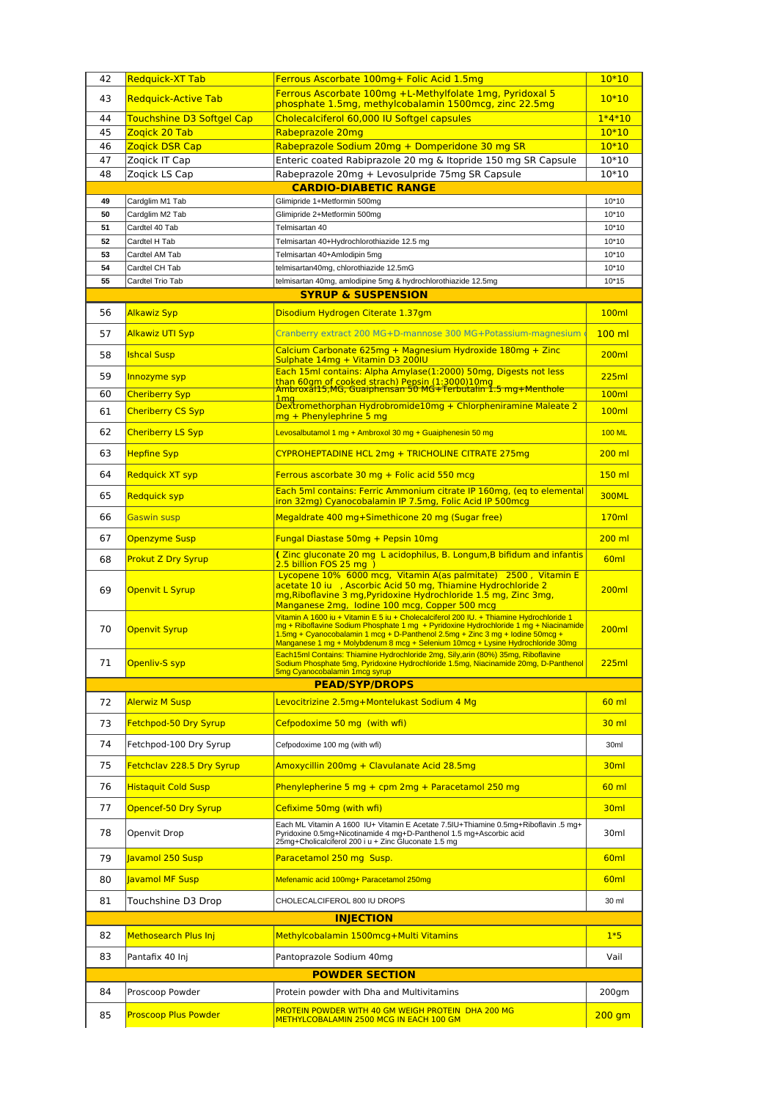| 42                                                                          | Redquick-XT Tab                        | Ferrous Ascorbate 100mg+ Folic Acid 1.5mg                                                                                                                                                                                                                                                                                                          | $10*10$            |  |  |
|-----------------------------------------------------------------------------|----------------------------------------|----------------------------------------------------------------------------------------------------------------------------------------------------------------------------------------------------------------------------------------------------------------------------------------------------------------------------------------------------|--------------------|--|--|
| 43                                                                          | <b>Redguick-Active Tab</b>             | Ferrous Ascorbate 100mg +L-Methylfolate 1mg, Pyridoxal 5<br>phosphate 1.5mg, methylcobalamin 1500mcg, zinc 22.5mg                                                                                                                                                                                                                                  | $10*10$            |  |  |
| 44                                                                          | <b>Touchshine D3 Softgel Cap</b>       | Cholecalciferol 60,000 IU Softgel capsules                                                                                                                                                                                                                                                                                                         | $1*4*10$           |  |  |
| 45                                                                          | Zogick 20 Tab                          | Rabeprazole 20mg                                                                                                                                                                                                                                                                                                                                   | $10*10$            |  |  |
| 46<br>47                                                                    | <b>Zogick DSR Cap</b><br>Zogick IT Cap | Rabeprazole Sodium 20mg + Domperidone 30 mg SR<br>Enteric coated Rabiprazole 20 mg & Itopride 150 mg SR Capsule                                                                                                                                                                                                                                    | $10*10$<br>$10*10$ |  |  |
| 48                                                                          | Zogick LS Cap                          | Rabeprazole 20mg + Levosulpride 75mg SR Capsule                                                                                                                                                                                                                                                                                                    | 10*10              |  |  |
|                                                                             |                                        | <b>CARDIO-DIABETIC RANGE</b>                                                                                                                                                                                                                                                                                                                       |                    |  |  |
| 49                                                                          | Cardglim M1 Tab                        | Glimipride 1+Metformin 500mg                                                                                                                                                                                                                                                                                                                       | $10*10$            |  |  |
| 50                                                                          | Cardglim M2 Tab                        | Glimipride 2+Metformin 500mg                                                                                                                                                                                                                                                                                                                       | $10*10$            |  |  |
| 51<br>52                                                                    | Cardtel 40 Tab<br>Cardtel H Tab        | Telmisartan 40<br>Telmisartan 40+Hydrochlorothiazide 12.5 mg                                                                                                                                                                                                                                                                                       | $10*10$<br>$10*10$ |  |  |
| 53                                                                          | Cardtel AM Tab                         | Telmisartan 40+Amlodipin 5mg                                                                                                                                                                                                                                                                                                                       | $10*10$            |  |  |
| 54                                                                          | Cardtel CH Tab                         | telmisartan40mg, chlorothiazide 12.5mG                                                                                                                                                                                                                                                                                                             | $10*10$            |  |  |
| 55                                                                          | Cardtel Trio Tab                       | telmisartan 40mg, amlodipine 5mg & hydrochlorothiazide 12.5mg                                                                                                                                                                                                                                                                                      | $10*15$            |  |  |
|                                                                             |                                        | <b>SYRUP &amp; SUSPENSION</b>                                                                                                                                                                                                                                                                                                                      |                    |  |  |
| 56                                                                          | <b>Alkawiz Syp</b>                     | Disodium Hydrogen Citerate 1.37gm                                                                                                                                                                                                                                                                                                                  | <b>100ml</b>       |  |  |
| 57                                                                          | <b>Alkawiz UTI Syp</b>                 | Cranberry extract 200 MG+D-mannose 300 MG+Potassium-magnesium                                                                                                                                                                                                                                                                                      | $100$ ml           |  |  |
| 58                                                                          | <b>Ishcal Susp</b>                     | Calcium Carbonate 625mg + Magnesium Hydroxide 180mg + Zinc<br>Sulphate 14mg + Vitamin D3 200IU                                                                                                                                                                                                                                                     | 200ml              |  |  |
| 59                                                                          | Innozyme syp                           | Each 15ml contains: Alpha Amylase(1:2000) 50mg, Digests not less                                                                                                                                                                                                                                                                                   | 225ml              |  |  |
| 60                                                                          | <b>Cheriberry Syp</b>                  | than 60gm of cooked strach) Pepsin (1:3000)10mg<br>Ambroxal15,MG, Guaiphensan 50 MG+Terbutalin 1.5 mg+Menthole<br>$1$ ma                                                                                                                                                                                                                           | <b>100ml</b>       |  |  |
| 61                                                                          | <b>Cheriberry CS Syp</b>               | Dextromethorphan Hydrobromide10mg + Chlorpheniramine Maleate 2<br>mg + Phenylephrine 5 mg                                                                                                                                                                                                                                                          | <b>100ml</b>       |  |  |
| 62                                                                          | <b>Cheriberry LS Syp</b>               | Levosalbutamol 1 mg + Ambroxol 30 mg + Guaiphenesin 50 mg                                                                                                                                                                                                                                                                                          | <b>100 ML</b>      |  |  |
| 63                                                                          | <b>Hepfine Syp</b>                     | CYPROHEPTADINE HCL 2mg + TRICHOLINE CITRATE 275mg                                                                                                                                                                                                                                                                                                  | 200 ml             |  |  |
| 64                                                                          | <b>Redquick XT syp</b>                 | Ferrous ascorbate 30 mg + Folic acid 550 mcg                                                                                                                                                                                                                                                                                                       | 150 ml             |  |  |
| 65                                                                          | <b>Redquick syp</b>                    | Each 5ml contains: Ferric Ammonium citrate IP 160mg, (eq to elemental<br>iron 32mg) Cyanocobalamin IP 7.5mg, Folic Acid IP 500mcg                                                                                                                                                                                                                  | <b>300ML</b>       |  |  |
| 66                                                                          | <b>Gaswin susp</b>                     | Megaldrate 400 mg+Simethicone 20 mg (Sugar free)                                                                                                                                                                                                                                                                                                   | 170ml              |  |  |
| 67                                                                          | <b>Openzyme Susp</b>                   | Fungal Diastase 50mg + Pepsin 10mg                                                                                                                                                                                                                                                                                                                 | 200 ml             |  |  |
| 68                                                                          | <b>Prokut Z Dry Syrup</b>              | (Zinc gluconate 20 mg L acidophilus, B. Longum, B bifidum and infantis<br>2.5 billion FOS 25 mg )                                                                                                                                                                                                                                                  | 60 <sub>ml</sub>   |  |  |
| 69                                                                          | <b>Openvit L Syrup</b>                 | Lycopene 10% 6000 mcg, Vitamin A(as palmitate) 2500, Vitamin E<br>acetate 10 iu , Ascorbic Acid 50 mg, Thiamine Hydrochloride 2<br>mg, Riboflavine 3 mg, Pyridoxine Hydrochloride 1.5 mg, Zinc 3mg,<br>Manganese 2mg, Iodine 100 mcg, Copper 500 mcg                                                                                               | 200ml              |  |  |
| 70                                                                          | <b>Openvit Syrup</b>                   | Vitamin A 1600 iu + Vitamin E 5 iu + Cholecalciferol 200 IU. + Thiamine Hydrochloride 1<br>mg + Riboflavine Sodium Phosphate 1 mg + Pyridoxine Hydrochloride 1 mg + Niacinamide<br>1.5mg + Cyanocobalamin 1 mcg + D-Panthenol 2.5mg + Zinc 3 mg + Iodine 50mcg +<br>Manganese 1 mg + Molybdenum 8 mcg + Selenium 10mcg + Lysine Hydrochloride 30mg | 200ml              |  |  |
| 71                                                                          | Openliv-S syp                          | Each15ml Contains: Thiamine Hydrochloride 2mg, Sily, arin (80%) 35mg, Riboflavine<br>Sodium Phosphate 5mg, Pyridoxine Hydrochloride 1.5mg, Niacinamide 20mg, D-Panthenol                                                                                                                                                                           | 225ml              |  |  |
|                                                                             |                                        | 5mg Cyanocobalamin 1mcg syrup<br><b>PEAD/SYP/DROPS</b>                                                                                                                                                                                                                                                                                             |                    |  |  |
| 72                                                                          | <b>Alerwiz M Susp</b>                  | Levocitrizine 2.5mg+Montelukast Sodium 4 Mg                                                                                                                                                                                                                                                                                                        | $60$ ml            |  |  |
|                                                                             |                                        |                                                                                                                                                                                                                                                                                                                                                    |                    |  |  |
| 73                                                                          | Fetchpod-50 Dry Syrup                  | Cefpodoxime 50 mg (with wfi)                                                                                                                                                                                                                                                                                                                       | $30$ ml            |  |  |
| 74                                                                          | Fetchpod-100 Dry Syrup                 | Cefpodoxime 100 mg (with wfi)                                                                                                                                                                                                                                                                                                                      | 30ml               |  |  |
| 75                                                                          | <b>Fetchclav 228.5 Dry Syrup</b>       | Amoxycillin 200mg + Clavulanate Acid 28.5mg                                                                                                                                                                                                                                                                                                        | 30 <sub>ml</sub>   |  |  |
| 76                                                                          | <b>Histaquit Cold Susp</b>             | Phenylepherine 5 mg + cpm 2mg + Paracetamol 250 mg                                                                                                                                                                                                                                                                                                 | $60$ ml            |  |  |
| 77                                                                          | Opencef-50 Dry Syrup                   | Cefixime 50mg (with wfi)                                                                                                                                                                                                                                                                                                                           | 30ml               |  |  |
| 78                                                                          | Openvit Drop                           | Each ML Vitamin A 1600 IU+ Vitamin E Acetate 7.5IU+Thiamine 0.5mg+Riboflavin .5 mg+<br>Pyridoxine 0.5mg+Nicotinamide 4 mg+D-Panthenol 1.5 mg+Ascorbic acid<br>25mg+Cholicalciferol 200 i u + Zinc Gluconate 1.5 mg                                                                                                                                 | 30ml               |  |  |
| 79                                                                          | Javamol 250 Susp                       | Paracetamol 250 mg Susp.                                                                                                                                                                                                                                                                                                                           | 60 <sub>ml</sub>   |  |  |
| 80                                                                          | Javamol MF Susp                        | Mefenamic acid 100mg+ Paracetamol 250mg                                                                                                                                                                                                                                                                                                            | 60 <sub>ml</sub>   |  |  |
| 81                                                                          | Touchshine D3 Drop                     | CHOLECALCIFEROL 800 IU DROPS                                                                                                                                                                                                                                                                                                                       | 30 ml              |  |  |
|                                                                             |                                        | <b>INJECTION</b>                                                                                                                                                                                                                                                                                                                                   |                    |  |  |
| 82                                                                          | Methosearch Plus Inj                   | Methylcobalamin 1500mcg+Multi Vitamins                                                                                                                                                                                                                                                                                                             | $1*5$              |  |  |
| 83                                                                          | Pantafix 40 Inj                        | Pantoprazole Sodium 40mg                                                                                                                                                                                                                                                                                                                           | Vail               |  |  |
| <b>POWDER SECTION</b>                                                       |                                        |                                                                                                                                                                                                                                                                                                                                                    |                    |  |  |
| 84<br>Proscoop Powder<br>Protein powder with Dha and Multivitamins<br>200gm |                                        |                                                                                                                                                                                                                                                                                                                                                    |                    |  |  |
|                                                                             |                                        |                                                                                                                                                                                                                                                                                                                                                    |                    |  |  |
| 85                                                                          | <b>Proscoop Plus Powder</b>            | PROTEIN POWDER WITH 40 GM WEIGH PROTEIN DHA 200 MG<br>METHYLCOBALAMIN 2500 MCG IN EACH 100 GM                                                                                                                                                                                                                                                      | $200$ gm           |  |  |